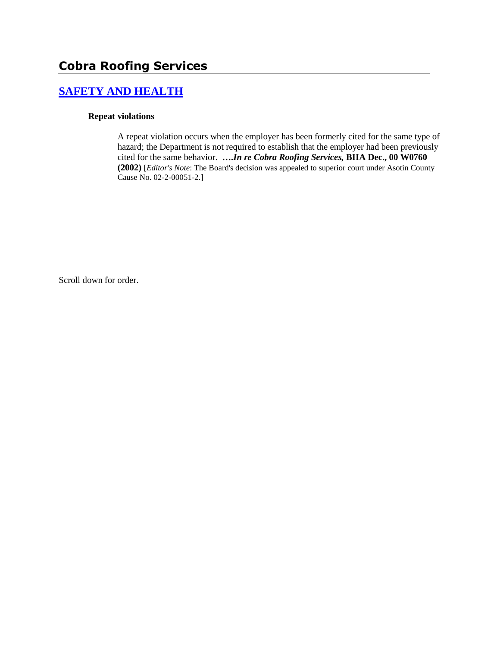# **Cobra Roofing Services**

# **[SAFETY AND HEALTH](http://www.biia.wa.gov/SDSubjectIndex.html#SAFETY_AND_HEALTH)**

#### **Repeat violations**

A repeat violation occurs when the employer has been formerly cited for the same type of hazard; the Department is not required to establish that the employer had been previously cited for the same behavior. **….***In re Cobra Roofing Services,* **BIIA Dec., 00 W0760 (2002)** [*Editor's Note*: The Board's decision was appealed to superior court under Asotin County Cause No. 02-2-00051-2.]

Scroll down for order.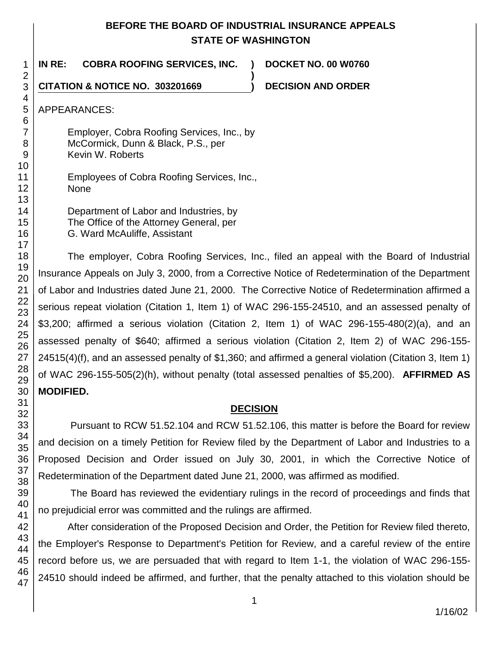## **BEFORE THE BOARD OF INDUSTRIAL INSURANCE APPEALS STATE OF WASHINGTON**

**)**

**IN RE: COBRA ROOFING SERVICES, INC. ) DOCKET NO. 00 W0760**

**CITATION & NOTICE NO. 303201669 ) DECISION AND ORDER** 

APPEARANCES:

Employer, Cobra Roofing Services, Inc., by McCormick, Dunn & Black, P.S., per Kevin W. Roberts

Employees of Cobra Roofing Services, Inc., None

Department of Labor and Industries, by The Office of the Attorney General, per G. Ward McAuliffe, Assistant

The employer, Cobra Roofing Services, Inc., filed an appeal with the Board of Industrial Insurance Appeals on July 3, 2000, from a Corrective Notice of Redetermination of the Department of Labor and Industries dated June 21, 2000. The Corrective Notice of Redetermination affirmed a serious repeat violation (Citation 1, Item 1) of WAC 296-155-24510, and an assessed penalty of \$3,200; affirmed a serious violation (Citation 2, Item 1) of WAC 296-155-480(2)(a), and an assessed penalty of \$640; affirmed a serious violation (Citation 2, Item 2) of WAC 296-155- 24515(4)(f), and an assessed penalty of \$1,360; and affirmed a general violation (Citation 3, Item 1) of WAC 296-155-505(2)(h), without penalty (total assessed penalties of \$5,200). **AFFIRMED AS MODIFIED.**

## **DECISION**

Pursuant to RCW 51.52.104 and RCW 51.52.106, this matter is before the Board for review and decision on a timely Petition for Review filed by the Department of Labor and Industries to a Proposed Decision and Order issued on July 30, 2001, in which the Corrective Notice of Redetermination of the Department dated June 21, 2000, was affirmed as modified.

The Board has reviewed the evidentiary rulings in the record of proceedings and finds that no prejudicial error was committed and the rulings are affirmed.

After consideration of the Proposed Decision and Order, the Petition for Review filed thereto, the Employer's Response to Department's Petition for Review, and a careful review of the entire record before us, we are persuaded that with regard to Item 1-1, the violation of WAC 296-155- 24510 should indeed be affirmed, and further, that the penalty attached to this violation should be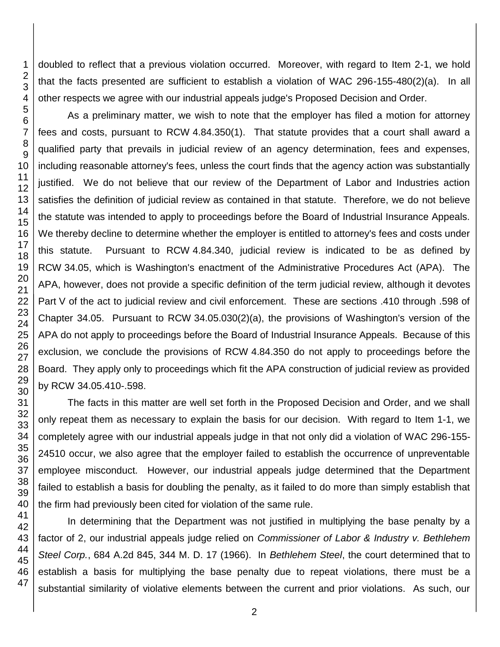doubled to reflect that a previous violation occurred. Moreover, with regard to Item 2-1, we hold that the facts presented are sufficient to establish a violation of WAC 296-155-480(2)(a). In all other respects we agree with our industrial appeals judge's Proposed Decision and Order.

As a preliminary matter, we wish to note that the employer has filed a motion for attorney fees and costs, pursuant to RCW 4.84.350(1). That statute provides that a court shall award a qualified party that prevails in judicial review of an agency determination, fees and expenses, including reasonable attorney's fees, unless the court finds that the agency action was substantially justified. We do not believe that our review of the Department of Labor and Industries action satisfies the definition of judicial review as contained in that statute. Therefore, we do not believe the statute was intended to apply to proceedings before the Board of Industrial Insurance Appeals. We thereby decline to determine whether the employer is entitled to attorney's fees and costs under this statute. Pursuant to RCW 4.84.340, judicial review is indicated to be as defined by RCW 34.05, which is Washington's enactment of the Administrative Procedures Act (APA). The APA, however, does not provide a specific definition of the term judicial review, although it devotes Part V of the act to judicial review and civil enforcement. These are sections .410 through .598 of Chapter 34.05. Pursuant to RCW 34.05.030(2)(a), the provisions of Washington's version of the APA do not apply to proceedings before the Board of Industrial Insurance Appeals. Because of this exclusion, we conclude the provisions of RCW 4.84.350 do not apply to proceedings before the Board. They apply only to proceedings which fit the APA construction of judicial review as provided by RCW 34.05.410-.598.

The facts in this matter are well set forth in the Proposed Decision and Order, and we shall only repeat them as necessary to explain the basis for our decision. With regard to Item 1-1, we completely agree with our industrial appeals judge in that not only did a violation of WAC 296-155- 24510 occur, we also agree that the employer failed to establish the occurrence of unpreventable employee misconduct. However, our industrial appeals judge determined that the Department failed to establish a basis for doubling the penalty, as it failed to do more than simply establish that the firm had previously been cited for violation of the same rule.

In determining that the Department was not justified in multiplying the base penalty by a factor of 2, our industrial appeals judge relied on *Commissioner of Labor & Industry v. Bethlehem Steel Corp.*, 684 A.2d 845, 344 M. D. 17 (1966). In *Bethlehem Steel*, the court determined that to establish a basis for multiplying the base penalty due to repeat violations, there must be a substantial similarity of violative elements between the current and prior violations. As such, our

1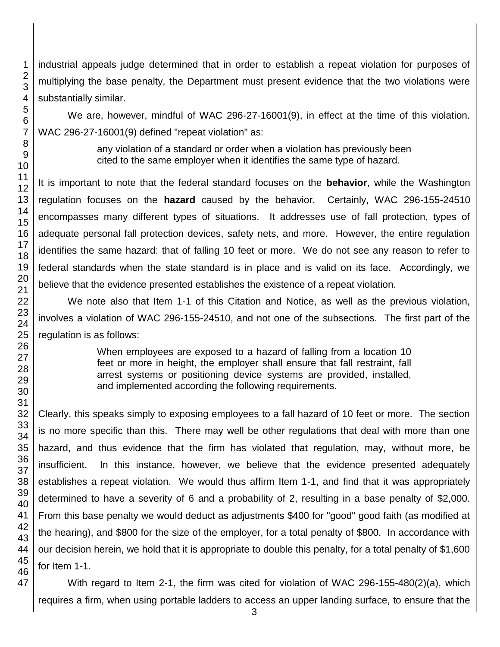industrial appeals judge determined that in order to establish a repeat violation for purposes of multiplying the base penalty, the Department must present evidence that the two violations were substantially similar.

We are, however, mindful of WAC 296-27-16001(9), in effect at the time of this violation. WAC 296-27-16001(9) defined "repeat violation" as:

> any violation of a standard or order when a violation has previously been cited to the same employer when it identifies the same type of hazard.

It is important to note that the federal standard focuses on the **behavior**, while the Washington regulation focuses on the **hazard** caused by the behavior. Certainly, WAC 296-155-24510 encompasses many different types of situations. It addresses use of fall protection, types of adequate personal fall protection devices, safety nets, and more. However, the entire regulation identifies the same hazard: that of falling 10 feet or more. We do not see any reason to refer to federal standards when the state standard is in place and is valid on its face. Accordingly, we believe that the evidence presented establishes the existence of a repeat violation.

We note also that Item 1-1 of this Citation and Notice, as well as the previous violation, involves a violation of WAC 296-155-24510, and not one of the subsections. The first part of the regulation is as follows:

> When employees are exposed to a hazard of falling from a location 10 feet or more in height, the employer shall ensure that fall restraint, fall arrest systems or positioning device systems are provided, installed, and implemented according the following requirements.

Clearly, this speaks simply to exposing employees to a fall hazard of 10 feet or more. The section is no more specific than this. There may well be other regulations that deal with more than one hazard, and thus evidence that the firm has violated that regulation, may, without more, be insufficient. In this instance, however, we believe that the evidence presented adequately establishes a repeat violation. We would thus affirm Item 1-1, and find that it was appropriately determined to have a severity of 6 and a probability of 2, resulting in a base penalty of \$2,000. From this base penalty we would deduct as adjustments \$400 for "good" good faith (as modified at the hearing), and \$800 for the size of the employer, for a total penalty of \$800. In accordance with our decision herein, we hold that it is appropriate to double this penalty, for a total penalty of \$1,600 for Item 1-1.

With regard to Item 2-1, the firm was cited for violation of WAC 296-155-480(2)(a), which requires a firm, when using portable ladders to access an upper landing surface, to ensure that the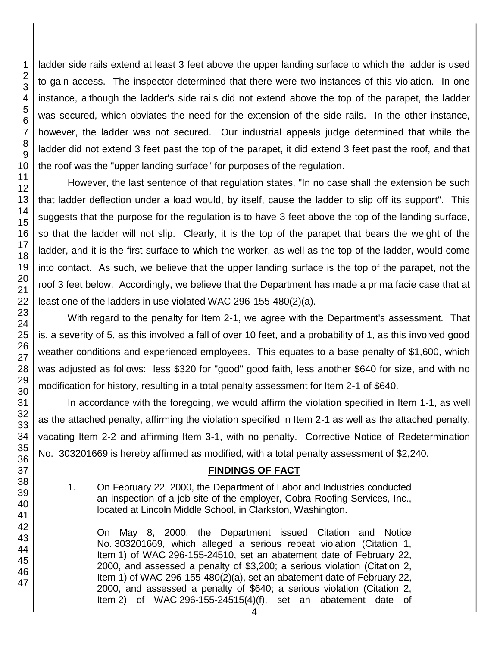ladder side rails extend at least 3 feet above the upper landing surface to which the ladder is used to gain access. The inspector determined that there were two instances of this violation. In one instance, although the ladder's side rails did not extend above the top of the parapet, the ladder was secured, which obviates the need for the extension of the side rails. In the other instance, however, the ladder was not secured. Our industrial appeals judge determined that while the ladder did not extend 3 feet past the top of the parapet, it did extend 3 feet past the roof, and that the roof was the "upper landing surface" for purposes of the regulation.

However, the last sentence of that regulation states, "In no case shall the extension be such that ladder deflection under a load would, by itself, cause the ladder to slip off its support". This suggests that the purpose for the regulation is to have 3 feet above the top of the landing surface, so that the ladder will not slip. Clearly, it is the top of the parapet that bears the weight of the ladder, and it is the first surface to which the worker, as well as the top of the ladder, would come into contact. As such, we believe that the upper landing surface is the top of the parapet, not the roof 3 feet below. Accordingly, we believe that the Department has made a prima facie case that at least one of the ladders in use violated WAC 296-155-480(2)(a).

With regard to the penalty for Item 2-1, we agree with the Department's assessment. That is, a severity of 5, as this involved a fall of over 10 feet, and a probability of 1, as this involved good weather conditions and experienced employees. This equates to a base penalty of \$1,600, which was adjusted as follows: less \$320 for "good" good faith, less another \$640 for size, and with no modification for history, resulting in a total penalty assessment for Item 2-1 of \$640.

In accordance with the foregoing, we would affirm the violation specified in Item 1-1, as well as the attached penalty, affirming the violation specified in Item 2-1 as well as the attached penalty, vacating Item 2-2 and affirming Item 3-1, with no penalty. Corrective Notice of Redetermination No. 303201669 is hereby affirmed as modified, with a total penalty assessment of \$2,240.

### **FINDINGS OF FACT**

1. On February 22, 2000, the Department of Labor and Industries conducted an inspection of a job site of the employer, Cobra Roofing Services, Inc., located at Lincoln Middle School, in Clarkston, Washington.

On May 8, 2000, the Department issued Citation and Notice No. 303201669, which alleged a serious repeat violation (Citation 1, Item 1) of WAC 296-155-24510, set an abatement date of February 22, 2000, and assessed a penalty of \$3,200; a serious violation (Citation 2, Item 1) of WAC 296-155-480(2)(a), set an abatement date of February 22, 2000, and assessed a penalty of \$640; a serious violation (Citation 2, Item 2) of WAC 296-155-24515(4)(f), set an abatement date of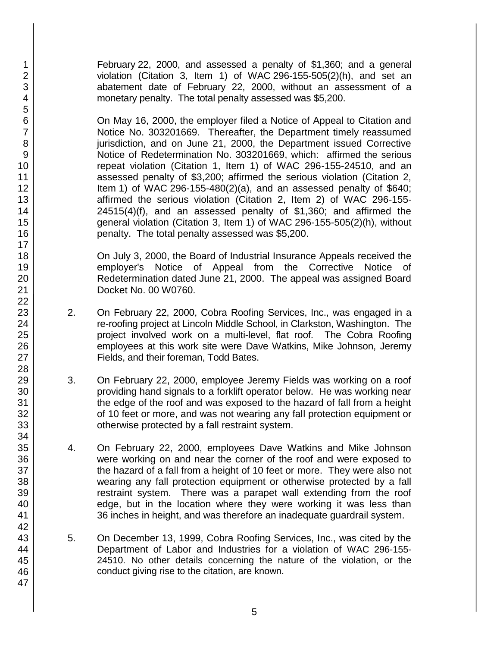February 22, 2000, and assessed a penalty of \$1,360; and a general violation (Citation 3, Item 1) of WAC 296-155-505(2)(h), and set an abatement date of February 22, 2000, without an assessment of a monetary penalty. The total penalty assessed was \$5,200.

On May 16, 2000, the employer filed a Notice of Appeal to Citation and Notice No. 303201669. Thereafter, the Department timely reassumed jurisdiction, and on June 21, 2000, the Department issued Corrective Notice of Redetermination No. 303201669, which: affirmed the serious repeat violation (Citation 1, Item 1) of WAC 296-155-24510, and an assessed penalty of \$3,200; affirmed the serious violation (Citation 2, Item 1) of WAC 296-155-480(2)(a), and an assessed penalty of \$640; affirmed the serious violation (Citation 2, Item 2) of WAC 296-155- 24515(4)(f), and an assessed penalty of \$1,360; and affirmed the general violation (Citation 3, Item 1) of WAC 296-155-505(2)(h), without penalty. The total penalty assessed was \$5,200.

On July 3, 2000, the Board of Industrial Insurance Appeals received the employer's Notice of Appeal from the Corrective Notice of Redetermination dated June 21, 2000. The appeal was assigned Board Docket No. 00 W0760.

- 2. On February 22, 2000, Cobra Roofing Services, Inc., was engaged in a re-roofing project at Lincoln Middle School, in Clarkston, Washington. The project involved work on a multi-level, flat roof. The Cobra Roofing employees at this work site were Dave Watkins, Mike Johnson, Jeremy Fields, and their foreman, Todd Bates.
- 3. On February 22, 2000, employee Jeremy Fields was working on a roof providing hand signals to a forklift operator below. He was working near the edge of the roof and was exposed to the hazard of fall from a height of 10 feet or more, and was not wearing any fall protection equipment or otherwise protected by a fall restraint system.
- 4. On February 22, 2000, employees Dave Watkins and Mike Johnson were working on and near the corner of the roof and were exposed to the hazard of a fall from a height of 10 feet or more. They were also not wearing any fall protection equipment or otherwise protected by a fall restraint system. There was a parapet wall extending from the roof edge, but in the location where they were working it was less than 36 inches in height, and was therefore an inadequate guardrail system.
- 5. On December 13, 1999, Cobra Roofing Services, Inc., was cited by the Department of Labor and Industries for a violation of WAC 296-155- 24510. No other details concerning the nature of the violation, or the conduct giving rise to the citation, are known.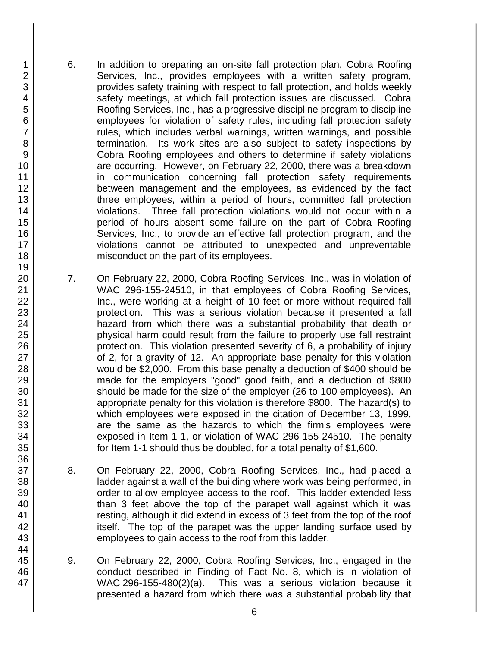- 6. In addition to preparing an on-site fall protection plan, Cobra Roofing Services, Inc., provides employees with a written safety program, provides safety training with respect to fall protection, and holds weekly safety meetings, at which fall protection issues are discussed. Cobra Roofing Services, Inc., has a progressive discipline program to discipline employees for violation of safety rules, including fall protection safety rules, which includes verbal warnings, written warnings, and possible termination. Its work sites are also subject to safety inspections by Cobra Roofing employees and others to determine if safety violations are occurring. However, on February 22, 2000, there was a breakdown in communication concerning fall protection safety requirements between management and the employees, as evidenced by the fact three employees, within a period of hours, committed fall protection violations. Three fall protection violations would not occur within a period of hours absent some failure on the part of Cobra Roofing Services, Inc., to provide an effective fall protection program, and the violations cannot be attributed to unexpected and unpreventable misconduct on the part of its employees.
- 7. On February 22, 2000, Cobra Roofing Services, Inc., was in violation of WAC 296-155-24510, in that employees of Cobra Roofing Services, Inc., were working at a height of 10 feet or more without required fall protection. This was a serious violation because it presented a fall hazard from which there was a substantial probability that death or physical harm could result from the failure to properly use fall restraint protection. This violation presented severity of 6, a probability of injury of 2, for a gravity of 12. An appropriate base penalty for this violation would be \$2,000. From this base penalty a deduction of \$400 should be made for the employers "good" good faith, and a deduction of \$800 should be made for the size of the employer (26 to 100 employees). An appropriate penalty for this violation is therefore \$800. The hazard(s) to which employees were exposed in the citation of December 13, 1999, are the same as the hazards to which the firm's employees were exposed in Item 1-1, or violation of WAC 296-155-24510. The penalty for Item 1-1 should thus be doubled, for a total penalty of \$1,600.
- 8. On February 22, 2000, Cobra Roofing Services, Inc., had placed a ladder against a wall of the building where work was being performed, in order to allow employee access to the roof. This ladder extended less than 3 feet above the top of the parapet wall against which it was resting, although it did extend in excess of 3 feet from the top of the roof itself. The top of the parapet was the upper landing surface used by employees to gain access to the roof from this ladder.
- 9. On February 22, 2000, Cobra Roofing Services, Inc., engaged in the conduct described in Finding of Fact No. 8, which is in violation of WAC 296-155-480(2)(a). This was a serious violation because it presented a hazard from which there was a substantial probability that

47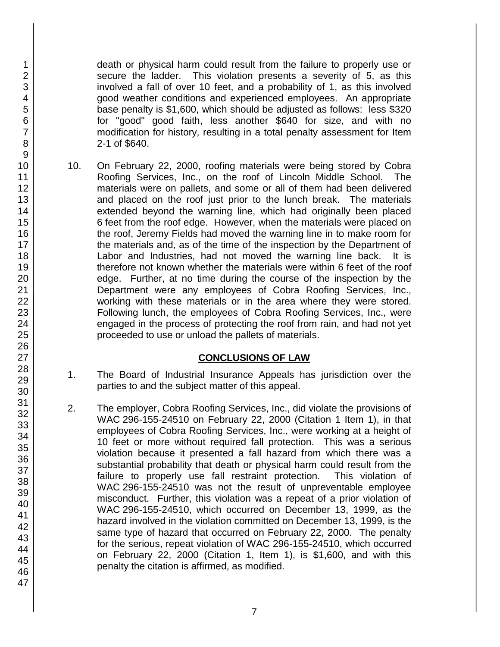death or physical harm could result from the failure to properly use or secure the ladder. This violation presents a severity of 5, as this involved a fall of over 10 feet, and a probability of 1, as this involved good weather conditions and experienced employees. An appropriate base penalty is \$1,600, which should be adjusted as follows: less \$320 for "good" good faith, less another \$640 for size, and with no modification for history, resulting in a total penalty assessment for Item 2-1 of \$640.

10. On February 22, 2000, roofing materials were being stored by Cobra Roofing Services, Inc., on the roof of Lincoln Middle School. The materials were on pallets, and some or all of them had been delivered and placed on the roof just prior to the lunch break. The materials extended beyond the warning line, which had originally been placed 6 feet from the roof edge. However, when the materials were placed on the roof, Jeremy Fields had moved the warning line in to make room for the materials and, as of the time of the inspection by the Department of Labor and Industries, had not moved the warning line back. It is therefore not known whether the materials were within 6 feet of the roof edge. Further, at no time during the course of the inspection by the Department were any employees of Cobra Roofing Services, Inc., working with these materials or in the area where they were stored. Following lunch, the employees of Cobra Roofing Services, Inc., were engaged in the process of protecting the roof from rain, and had not yet proceeded to use or unload the pallets of materials.

### **CONCLUSIONS OF LAW**

- 1. The Board of Industrial Insurance Appeals has jurisdiction over the parties to and the subject matter of this appeal.
- 2. The employer, Cobra Roofing Services, Inc., did violate the provisions of WAC 296-155-24510 on February 22, 2000 (Citation 1 Item 1), in that employees of Cobra Roofing Services, Inc., were working at a height of 10 feet or more without required fall protection. This was a serious violation because it presented a fall hazard from which there was a substantial probability that death or physical harm could result from the failure to properly use fall restraint protection. This violation of WAC 296-155-24510 was not the result of unpreventable employee misconduct. Further, this violation was a repeat of a prior violation of WAC 296-155-24510, which occurred on December 13, 1999, as the hazard involved in the violation committed on December 13, 1999, is the same type of hazard that occurred on February 22, 2000. The penalty for the serious, repeat violation of WAC 296-155-24510, which occurred on February 22, 2000 (Citation 1, Item 1), is \$1,600, and with this penalty the citation is affirmed, as modified.